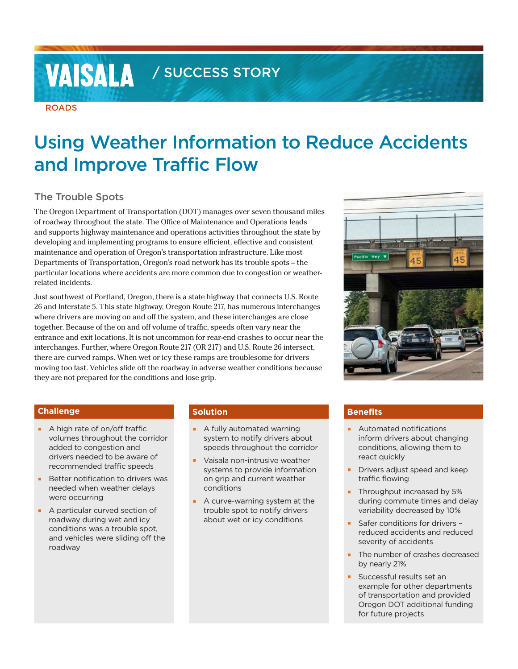# **VAISALA** / SUCCESS STORY

#### ROADS

## Using Weather Information to Reduce Accidents and Improve Traffic Flow

#### The Trouble Spots

The Oregon Department of Transportation (DOT) manages over seven thousand miles of roadway throughout the state. The Office of Maintenance and Operations leads and supports highway maintenance and operations activities throughout the state by developing and implementing programs to ensure efficient, effective and consistent maintenance and operation of Oregon's transportation infrastructure. Like most Departments of Transportation, Oregon's road network has its trouble spots – the particular locations where accidents are more common due to congestion or weatherrelated incidents.

Just southwest of Portland, Oregon, there is a state highway that connects U.S. Route 26 and Interstate 5. This state highway, Oregon Route 217, has numerous interchanges where drivers are moving on and off the system, and these interchanges are close together. Because of the on and off volume of traffic, speeds often vary near the entrance and exit locations. It is not uncommon for rear-end crashes to occur near the interchanges. Further, where Oregon Route 217 (OR 217) and U.S. Route 26 intersect, there are curved ramps. When wet or icy these ramps are troublesome for drivers moving too fast. Vehicles slide off the roadway in adverse weather conditions because they are not prepared for the conditions and lose grip.



#### **Challenge**

- A high rate of on/off traffic volumes throughout the corridor added to congestion and drivers needed to be aware of recommended traffic speeds
- **Better notification to drivers was** needed when weather delays were occurring
- A particular curved section of roadway during wet and icy conditions was a trouble spot, and vehicles were sliding off the roadway

#### **Solution**

- **E** A fully automated warning system to notify drivers about speeds throughout the corridor
- Vaisala non-intrusive weather systems to provide information on grip and current weather conditions
- A curve-warning system at the trouble spot to notify drivers about wet or icy conditions

#### **Benefits**

- **E** Automated notifications inform drivers about changing conditions, allowing them to react quickly
- Drivers adjust speed and keep traffic flowing
- **Throughput increased by 5%** during commute times and delay variability decreased by 10%
- Safer conditions for drivers reduced accidents and reduced severity of accidents
- The number of crashes decreased by nearly 21%
- Successful results set an example for other departments of transportation and provided Oregon DOT additional funding for future projects